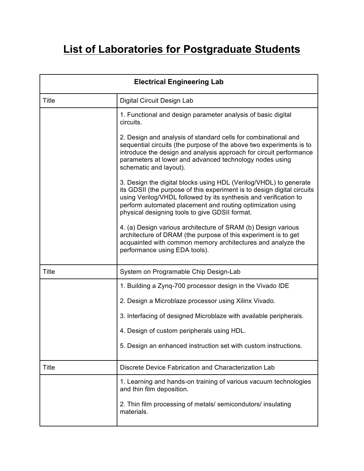## **List of Laboratories for Postgraduate Students**

| <b>Electrical Engineering Lab</b> |                                                                                                                                                                                                                                                                                                                                  |
|-----------------------------------|----------------------------------------------------------------------------------------------------------------------------------------------------------------------------------------------------------------------------------------------------------------------------------------------------------------------------------|
| <b>Title</b>                      | Digital Circuit Design Lab                                                                                                                                                                                                                                                                                                       |
|                                   | 1. Functional and design parameter analysis of basic digital<br>circuits.                                                                                                                                                                                                                                                        |
|                                   | 2. Design and analysis of standard cells for combinational and<br>sequential circuits (the purpose of the above two experiments is to<br>introduce the design and analysis approach for circuit performance<br>parameters at lower and advanced technology nodes using<br>schematic and layout).                                 |
|                                   | 3. Design the digital blocks using HDL (Verilog/VHDL) to generate<br>its GDSII (the purpose of this experiment is to design digital circuits<br>using Verilog/VHDL followed by its synthesis and verification to<br>perform automated placement and routing optimization using<br>physical designing tools to give GDSII format. |
|                                   | 4. (a) Design various architecture of SRAM (b) Design various<br>architecture of DRAM (the purpose of this experiment is to get<br>acquainted with common memory architectures and analyze the<br>performance using EDA tools).                                                                                                  |
| <b>Title</b>                      | System on Programable Chip Design-Lab                                                                                                                                                                                                                                                                                            |
|                                   | 1. Building a Zyng-700 processor design in the Vivado IDE                                                                                                                                                                                                                                                                        |
|                                   | 2. Design a Microblaze processor using Xilinx Vivado.                                                                                                                                                                                                                                                                            |
|                                   | 3. Interfacing of designed Microblaze with available peripherals.                                                                                                                                                                                                                                                                |
|                                   | 4. Design of custom peripherals using HDL.                                                                                                                                                                                                                                                                                       |
|                                   | 5. Design an enhanced instruction set with custom instructions.                                                                                                                                                                                                                                                                  |
| Title                             | Discrete Device Fabrication and Characterization Lab                                                                                                                                                                                                                                                                             |
|                                   | 1. Learning and hands-on training of various vacuum technologies<br>and thin film deposition.                                                                                                                                                                                                                                    |
|                                   | 2. Thin film processing of metals/ semicondutors/ insulating<br>materials.                                                                                                                                                                                                                                                       |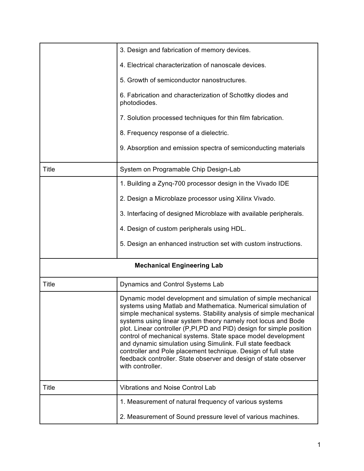|              | 3. Design and fabrication of memory devices.                                                                                                                                                                                                                                                                                                                                                                                                                                                                                                                                                                                         |
|--------------|--------------------------------------------------------------------------------------------------------------------------------------------------------------------------------------------------------------------------------------------------------------------------------------------------------------------------------------------------------------------------------------------------------------------------------------------------------------------------------------------------------------------------------------------------------------------------------------------------------------------------------------|
|              | 4. Electrical characterization of nanoscale devices.                                                                                                                                                                                                                                                                                                                                                                                                                                                                                                                                                                                 |
|              | 5. Growth of semiconductor nanostructures.                                                                                                                                                                                                                                                                                                                                                                                                                                                                                                                                                                                           |
|              | 6. Fabrication and characterization of Schottky diodes and<br>photodiodes.                                                                                                                                                                                                                                                                                                                                                                                                                                                                                                                                                           |
|              | 7. Solution processed techniques for thin film fabrication.                                                                                                                                                                                                                                                                                                                                                                                                                                                                                                                                                                          |
|              | 8. Frequency response of a dielectric.                                                                                                                                                                                                                                                                                                                                                                                                                                                                                                                                                                                               |
|              | 9. Absorption and emission spectra of semiconducting materials                                                                                                                                                                                                                                                                                                                                                                                                                                                                                                                                                                       |
| <b>Title</b> | System on Programable Chip Design-Lab                                                                                                                                                                                                                                                                                                                                                                                                                                                                                                                                                                                                |
|              | 1. Building a Zyng-700 processor design in the Vivado IDE                                                                                                                                                                                                                                                                                                                                                                                                                                                                                                                                                                            |
|              | 2. Design a Microblaze processor using Xilinx Vivado.                                                                                                                                                                                                                                                                                                                                                                                                                                                                                                                                                                                |
|              | 3. Interfacing of designed Microblaze with available peripherals.                                                                                                                                                                                                                                                                                                                                                                                                                                                                                                                                                                    |
|              | 4. Design of custom peripherals using HDL.                                                                                                                                                                                                                                                                                                                                                                                                                                                                                                                                                                                           |
|              | 5. Design an enhanced instruction set with custom instructions.                                                                                                                                                                                                                                                                                                                                                                                                                                                                                                                                                                      |
|              | <b>Mechanical Engineering Lab</b>                                                                                                                                                                                                                                                                                                                                                                                                                                                                                                                                                                                                    |
| <b>Title</b> | Dynamics and Control Systems Lab                                                                                                                                                                                                                                                                                                                                                                                                                                                                                                                                                                                                     |
|              | Dynamic model development and simulation of simple mechanical<br>systems using Matlab and Mathematica. Numerical simulation of<br>simple mechanical systems. Stability analysis of simple mechanical<br>systems using linear system theory namely root locus and Bode<br>plot. Linear controller (P,PI,PD and PID) design for simple position<br>control of mechanical systems. State space model development<br>and dynamic simulation using Simulink. Full state feedback<br>controller and Pole placement technique. Design of full state<br>feedback controller. State observer and design of state observer<br>with controller. |
| <b>Title</b> | <b>Vibrations and Noise Control Lab</b>                                                                                                                                                                                                                                                                                                                                                                                                                                                                                                                                                                                              |
|              | 1. Measurement of natural frequency of various systems                                                                                                                                                                                                                                                                                                                                                                                                                                                                                                                                                                               |
|              | 2. Measurement of Sound pressure level of various machines.                                                                                                                                                                                                                                                                                                                                                                                                                                                                                                                                                                          |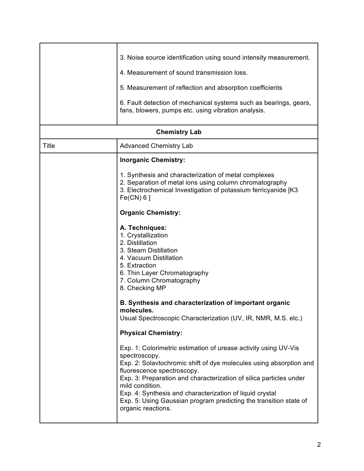|                      | 3. Noise source identification using sound intensity measurement.<br>4. Measurement of sound transmission loss.<br>5. Measurement of reflection and absorption coefficients                                                                                                                                                                                                                                                          |
|----------------------|--------------------------------------------------------------------------------------------------------------------------------------------------------------------------------------------------------------------------------------------------------------------------------------------------------------------------------------------------------------------------------------------------------------------------------------|
|                      | 6. Fault detection of mechanical systems such as bearings, gears,<br>fans, blowers, pumps etc. using vibration analysis.                                                                                                                                                                                                                                                                                                             |
| <b>Chemistry Lab</b> |                                                                                                                                                                                                                                                                                                                                                                                                                                      |
| <b>Title</b>         | <b>Advanced Chemistry Lab</b>                                                                                                                                                                                                                                                                                                                                                                                                        |
|                      | <b>Inorganic Chemistry:</b>                                                                                                                                                                                                                                                                                                                                                                                                          |
|                      | 1. Synthesis and characterization of metal complexes<br>2. Separation of metal ions using column chromatography<br>3. Electrochemical Investigation of potassium ferricyanide [K3<br>$Fe(CN) 6$ ]                                                                                                                                                                                                                                    |
|                      | <b>Organic Chemistry:</b>                                                                                                                                                                                                                                                                                                                                                                                                            |
|                      | A. Techniques:<br>1. Crystallization<br>2. Distillation<br>3. Steam Distillation<br>4. Vacuum Distillation<br>5. Extraction<br>6. Thin Layer Chromatography<br>7. Column Chromatography<br>8. Checking MP                                                                                                                                                                                                                            |
|                      | B. Synthesis and characterization of important organic<br>molecules.<br>Usual Spectroscopic Characterization (UV, IR, NMR, M.S. etc.)                                                                                                                                                                                                                                                                                                |
|                      | <b>Physical Chemistry:</b>                                                                                                                                                                                                                                                                                                                                                                                                           |
|                      | Exp. 1: Colorimetric estimation of urease activity using UV-Vis<br>spectroscopy.<br>Exp. 2: Solavtochromic shift of dye molecules using absorption and<br>fluorescence spectroscopy.<br>Exp. 3: Preparation and characterization of silica particles under<br>mild condition.<br>Exp. 4: Synthesis and characterization of liquid crystal<br>Exp. 5: Using Gaussian program predicting the transition state of<br>organic reactions. |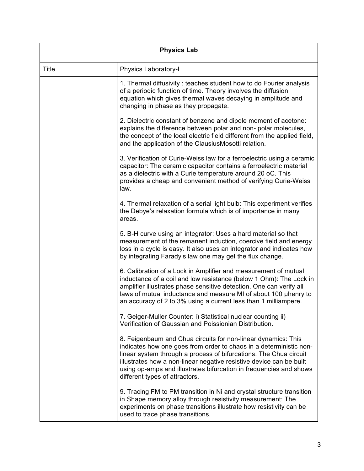| <b>Physics Lab</b> |                                                                                                                                                                                                                                                                                                                                                                                         |
|--------------------|-----------------------------------------------------------------------------------------------------------------------------------------------------------------------------------------------------------------------------------------------------------------------------------------------------------------------------------------------------------------------------------------|
| <b>Title</b>       | Physics Laboratory-I                                                                                                                                                                                                                                                                                                                                                                    |
|                    | 1. Thermal diffusivity: teaches student how to do Fourier analysis<br>of a periodic function of time. Theory involves the diffusion<br>equation which gives thermal waves decaying in amplitude and<br>changing in phase as they propagate.                                                                                                                                             |
|                    | 2. Dielectric constant of benzene and dipole moment of acetone:<br>explains the difference between polar and non-polar molecules,<br>the concept of the local electric field different from the applied field,<br>and the application of the ClausiusMosotti relation.                                                                                                                  |
|                    | 3. Verification of Curie-Weiss law for a ferroelectric using a ceramic<br>capacitor: The ceramic capacitor contains a ferroelectric material<br>as a dielectric with a Curie temperature around 20 oC. This<br>provides a cheap and convenient method of verifying Curie-Weiss<br>law.                                                                                                  |
|                    | 4. Thermal relaxation of a serial light bulb: This experiment verifies<br>the Debye's relaxation formula which is of importance in many<br>areas.                                                                                                                                                                                                                                       |
|                    | 5. B-H curve using an integrator: Uses a hard material so that<br>measurement of the remanent induction, coercive field and energy<br>loss in a cycle is easy. It also uses an integrator and indicates how<br>by integrating Farady's law one may get the flux change.                                                                                                                 |
|                    | 6. Calibration of a Lock in Amplifier and measurement of mutual<br>inductance of a coil and low resistance (below 1 Ohm): The Lock in<br>amplifier illustrates phase sensitive detection. One can verify all<br>laws of mutual inductance and measure MI of about 100 uhenry to<br>an accuracy of 2 to 3% using a current less than 1 milliampere.                                      |
|                    | 7. Geiger-Muller Counter: i) Statistical nuclear counting ii)<br>Verification of Gaussian and Poissionian Distribution.                                                                                                                                                                                                                                                                 |
|                    | 8. Feigenbaum and Chua circuits for non-linear dynamics: This<br>indicates how one goes from order to chaos in a deterministic non-<br>linear system through a process of bifurcations. The Chua circuit<br>illustrates how a non-linear negative resistive device can be built<br>using op-amps and illustrates bifurcation in frequencies and shows<br>different types of attractors. |
|                    | 9. Tracing FM to PM transition in Ni and crystal structure transition<br>in Shape memory alloy through resistivity measurement: The<br>experiments on phase transitions illustrate how resistivity can be<br>used to trace phase transitions.                                                                                                                                           |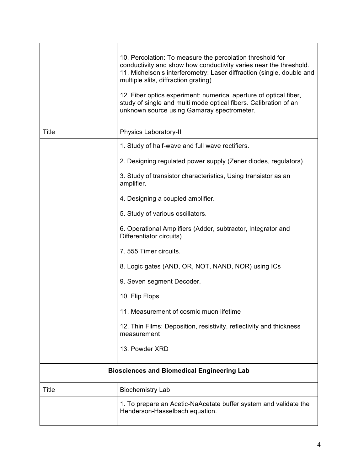|                                                   | 10. Percolation: To measure the percolation threshold for<br>conductivity and show how conductivity varies near the threshold.<br>11. Michelson's interferometry: Laser diffraction (single, double and<br>multiple slits, diffraction grating)<br>12. Fiber optics experiment: numerical aperture of optical fiber,<br>study of single and multi mode optical fibers. Calibration of an<br>unknown source using Gamaray spectrometer. |
|---------------------------------------------------|----------------------------------------------------------------------------------------------------------------------------------------------------------------------------------------------------------------------------------------------------------------------------------------------------------------------------------------------------------------------------------------------------------------------------------------|
| <b>Title</b>                                      | Physics Laboratory-II                                                                                                                                                                                                                                                                                                                                                                                                                  |
|                                                   | 1. Study of half-wave and full wave rectifiers.                                                                                                                                                                                                                                                                                                                                                                                        |
|                                                   | 2. Designing regulated power supply (Zener diodes, regulators)                                                                                                                                                                                                                                                                                                                                                                         |
|                                                   | 3. Study of transistor characteristics, Using transistor as an<br>amplifier.                                                                                                                                                                                                                                                                                                                                                           |
|                                                   | 4. Designing a coupled amplifier.                                                                                                                                                                                                                                                                                                                                                                                                      |
|                                                   | 5. Study of various oscillators.                                                                                                                                                                                                                                                                                                                                                                                                       |
|                                                   | 6. Operational Amplifiers (Adder, subtractor, Integrator and<br>Differentiator circuits)                                                                                                                                                                                                                                                                                                                                               |
|                                                   | 7.555 Timer circuits.                                                                                                                                                                                                                                                                                                                                                                                                                  |
|                                                   | 8. Logic gates (AND, OR, NOT, NAND, NOR) using ICs                                                                                                                                                                                                                                                                                                                                                                                     |
|                                                   | 9. Seven segment Decoder.                                                                                                                                                                                                                                                                                                                                                                                                              |
|                                                   | 10. Flip Flops                                                                                                                                                                                                                                                                                                                                                                                                                         |
|                                                   | 11. Measurement of cosmic muon lifetime                                                                                                                                                                                                                                                                                                                                                                                                |
|                                                   | 12. Thin Films: Deposition, resistivity, reflectivity and thickness<br>measurement                                                                                                                                                                                                                                                                                                                                                     |
|                                                   | 13. Powder XRD                                                                                                                                                                                                                                                                                                                                                                                                                         |
| <b>Biosciences and Biomedical Engineering Lab</b> |                                                                                                                                                                                                                                                                                                                                                                                                                                        |
| Title                                             | <b>Biochemistry Lab</b>                                                                                                                                                                                                                                                                                                                                                                                                                |
|                                                   | 1. To prepare an Acetic-NaAcetate buffer system and validate the<br>Henderson-Hasselbach equation.                                                                                                                                                                                                                                                                                                                                     |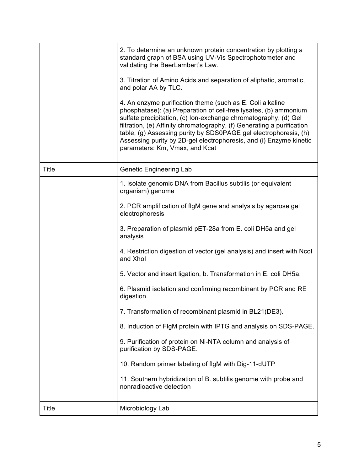|       | 2. To determine an unknown protein concentration by plotting a<br>standard graph of BSA using UV-Vis Spectrophotometer and<br>validating the BeerLambert's Law.<br>3. Titration of Amino Acids and separation of aliphatic, aromatic,<br>and polar AA by TLC.<br>4. An enzyme purification theme (such as E. Coli alkaline<br>phosphatase): (a) Preparation of cell-free lysates, (b) ammonium<br>sulfate precipitation, (c) lon-exchange chromatography, (d) Gel<br>filtration, (e) Affinity chromatography, (f) Generating a purification<br>table, (g) Assessing purity by SDS0PAGE gel electrophoresis, (h)<br>Assessing purity by 2D-gel electrophoresis, and (i) Enzyme kinetic<br>parameters: Km, Vmax, and Kcat |
|-------|-------------------------------------------------------------------------------------------------------------------------------------------------------------------------------------------------------------------------------------------------------------------------------------------------------------------------------------------------------------------------------------------------------------------------------------------------------------------------------------------------------------------------------------------------------------------------------------------------------------------------------------------------------------------------------------------------------------------------|
| Title | <b>Genetic Engineering Lab</b>                                                                                                                                                                                                                                                                                                                                                                                                                                                                                                                                                                                                                                                                                          |
|       | 1. Isolate genomic DNA from Bacillus subtilis (or equivalent<br>organism) genome                                                                                                                                                                                                                                                                                                                                                                                                                                                                                                                                                                                                                                        |
|       | 2. PCR amplification of flgM gene and analysis by agarose gel<br>electrophoresis                                                                                                                                                                                                                                                                                                                                                                                                                                                                                                                                                                                                                                        |
|       | 3. Preparation of plasmid pET-28a from E. coli DH5a and gel<br>analysis                                                                                                                                                                                                                                                                                                                                                                                                                                                                                                                                                                                                                                                 |
|       | 4. Restriction digestion of vector (gel analysis) and insert with Ncol<br>and Xhol                                                                                                                                                                                                                                                                                                                                                                                                                                                                                                                                                                                                                                      |
|       | 5. Vector and insert ligation, b. Transformation in E. coli DH5a.                                                                                                                                                                                                                                                                                                                                                                                                                                                                                                                                                                                                                                                       |
|       | 6. Plasmid isolation and confirming recombinant by PCR and RE<br>digestion.                                                                                                                                                                                                                                                                                                                                                                                                                                                                                                                                                                                                                                             |
|       | 7. Transformation of recombinant plasmid in BL21(DE3).                                                                                                                                                                                                                                                                                                                                                                                                                                                                                                                                                                                                                                                                  |
|       | 8. Induction of FIgM protein with IPTG and analysis on SDS-PAGE.                                                                                                                                                                                                                                                                                                                                                                                                                                                                                                                                                                                                                                                        |
|       | 9. Purification of protein on Ni-NTA column and analysis of<br>purification by SDS-PAGE.                                                                                                                                                                                                                                                                                                                                                                                                                                                                                                                                                                                                                                |
|       | 10. Random primer labeling of flgM with Dig-11-dUTP                                                                                                                                                                                                                                                                                                                                                                                                                                                                                                                                                                                                                                                                     |
|       | 11. Southern hybridization of B. subtilis genome with probe and<br>nonradioactive detection                                                                                                                                                                                                                                                                                                                                                                                                                                                                                                                                                                                                                             |
| Title | Microbiology Lab                                                                                                                                                                                                                                                                                                                                                                                                                                                                                                                                                                                                                                                                                                        |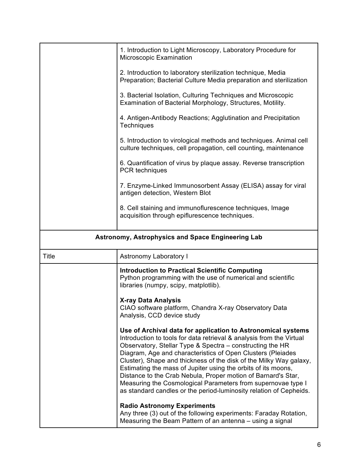|                                                          | 1. Introduction to Light Microscopy, Laboratory Procedure for<br>Microscopic Examination                                                                                                                                                                                                                                                                                                                |
|----------------------------------------------------------|---------------------------------------------------------------------------------------------------------------------------------------------------------------------------------------------------------------------------------------------------------------------------------------------------------------------------------------------------------------------------------------------------------|
|                                                          | 2. Introduction to laboratory sterilization technique, Media<br>Preparation; Bacterial Culture Media preparation and sterilization                                                                                                                                                                                                                                                                      |
|                                                          | 3. Bacterial Isolation, Culturing Techniques and Microscopic<br>Examination of Bacterial Morphology, Structures, Motility.                                                                                                                                                                                                                                                                              |
|                                                          | 4. Antigen-Antibody Reactions; Agglutination and Precipitation<br>Techniques                                                                                                                                                                                                                                                                                                                            |
|                                                          | 5. Introduction to virological methods and techniques. Animal cell<br>culture techniques, cell propagation, cell counting, maintenance                                                                                                                                                                                                                                                                  |
|                                                          | 6. Quantification of virus by plaque assay. Reverse transcription<br>PCR techniques                                                                                                                                                                                                                                                                                                                     |
|                                                          | 7. Enzyme-Linked Immunosorbent Assay (ELISA) assay for viral<br>antigen detection, Western Blot                                                                                                                                                                                                                                                                                                         |
|                                                          | 8. Cell staining and immunoflurescence techniques, Image<br>acquisition through epiflurescence techniques.                                                                                                                                                                                                                                                                                              |
| <b>Astronomy, Astrophysics and Space Engineering Lab</b> |                                                                                                                                                                                                                                                                                                                                                                                                         |
| <b>Title</b>                                             | <b>Astronomy Laboratory I</b>                                                                                                                                                                                                                                                                                                                                                                           |
|                                                          | <b>Introduction to Practical Scientific Computing</b><br>Python programming with the use of numerical and scientific<br>libraries (numpy, scipy, matplotlib).                                                                                                                                                                                                                                           |
|                                                          | <b>X-ray Data Analysis</b><br>CIAO software platform, Chandra X-ray Observatory Data<br>Analysis, CCD device study                                                                                                                                                                                                                                                                                      |
|                                                          | Use of Archival data for application to Astronomical systems<br>Introduction to tools for data retrieval & analysis from the Virtual<br>Observatory, Stellar Type & Spectra - constructing the HR<br>Diagram, Age and characteristics of Open Clusters (Pleiades<br>Cluster), Shape and thickness of the disk of the Milky Way galaxy,<br>Estimating the mass of Jupiter using the orbits of its moons, |

## **Radio Astronomy Experiments**

Any three (3) out of the following experiments: Faraday Rotation, Measuring the Beam Pattern of an antenna – using a signal